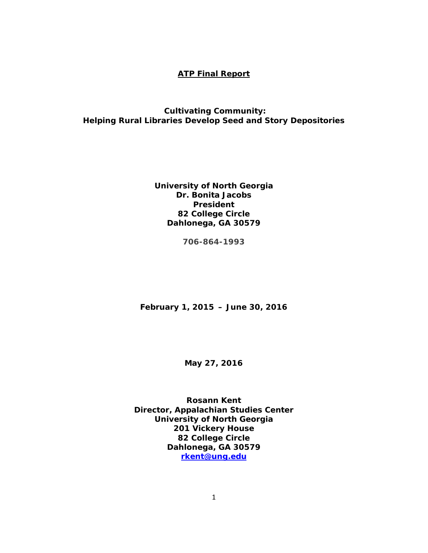#### **ATP Final Report**

### *Cultivating Community: Helping Rural Libraries Develop Seed and Story Depositories*

**University of North Georgia Dr. Bonita Jacobs President 82 College Circle Dahlonega, GA 30579**

**706-864-1993**

**February 1, 2015 – June 30, 2016**

**May 27, 2016**

**Rosann Kent Director, Appalachian Studies Center University of North Georgia 201 Vickery House 82 College Circle Dahlonega, GA 30579 [rkent@ung.edu](mailto:rkent@ung.edu)**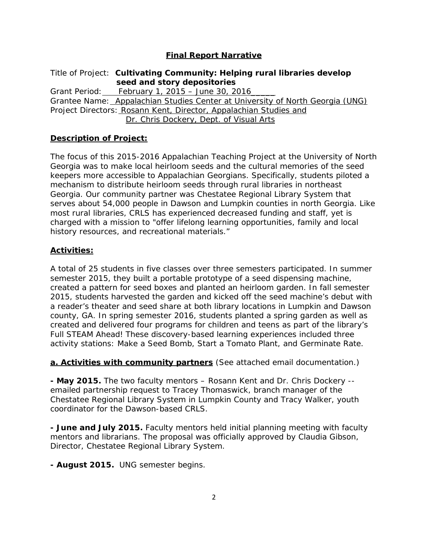# **Final Report Narrative**

Title of Project:*Cultivating Community: Helping rural libraries develop seed and story depositories*  Grant Period: February 1, 2015 – June 30, 2016\_\_\_\_\_ Grantee Name: Appalachian Studies Center at University of North Georgia (UNG) Project Directors: Rosann Kent, Director, Appalachian Studies and Dr. Chris Dockery, Dept. of Visual Arts

### **Description of Project:**

The focus of this 2015-2016 Appalachian Teaching Project at the University of North Georgia was to make local heirloom seeds and the cultural memories of the seed keepers more accessible to Appalachian Georgians. Specifically, students piloted a mechanism to distribute heirloom seeds through rural libraries in northeast Georgia. Our community partner was Chestatee Regional Library System that serves about 54,000 people in Dawson and Lumpkin counties in north Georgia. Like most rural libraries, CRLS has experienced decreased funding and staff, yet is charged with a mission to "offer lifelong learning opportunities, family and local history resources, and recreational materials."

#### **Activities:**

A total of 25 students in five classes over three semesters participated. In summer semester 2015, they built a portable prototype of a seed dispensing machine, created a pattern for seed boxes and planted an heirloom garden. In fall semester 2015, students harvested the garden and kicked off the seed machine's debut with a reader's theater and seed share at both library locations in Lumpkin and Dawson county, GA. In spring semester 2016, students planted a spring garden as well as created and delivered four programs for children and teens as part of the library's Full STEAM Ahead! These discovery-based learning experiences included three activity stations: Make a Seed Bomb, Start a Tomato Plant, and Germinate Rate.

**a. Activities with community partners** (See attached email documentation.)

**- May 2015.** The two faculty mentors – Rosann Kent and Dr. Chris Dockery - emailed partnership request to Tracey Thomaswick, branch manager of the Chestatee Regional Library System in Lumpkin County and Tracy Walker, youth coordinator for the Dawson-based CRLS.

**- June and July 2015.** Faculty mentors held initial planning meeting with faculty mentors and librarians. The proposal was officially approved by Claudia Gibson, Director, Chestatee Regional Library System.

**- August 2015.** UNG semester begins.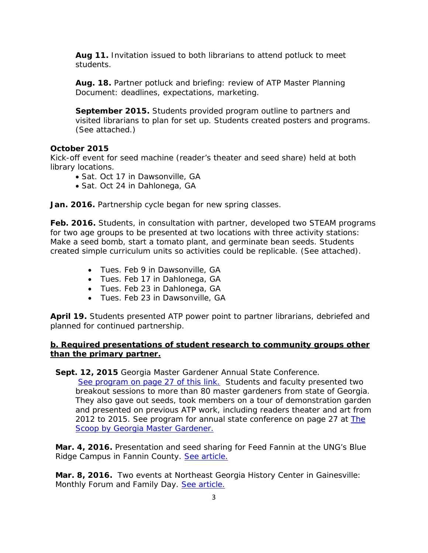**Aug 11.** Invitation issued to both librarians to attend potluck to meet students.

**Aug. 18.** Partner potluck and briefing: review of ATP Master Planning Document: deadlines, expectations, marketing.

**September 2015.** Students provided program outline to partners and visited librarians to plan for set up. Students created posters and programs. (See attached.)

#### **October 2015**

Kick-off event for seed machine (reader's theater and seed share) held at both library locations.

- Sat. Oct 17 in Dawsonville, GA
- Sat. Oct 24 in Dahlonega, GA

**Jan. 2016.** Partnership cycle began for new spring classes.

**Feb. 2016.** Students, in consultation with partner, developed two STEAM programs for two age groups to be presented at two locations with three activity stations: Make a seed bomb, start a tomato plant, and germinate bean seeds. Students created simple curriculum units so activities could be replicable. (See attached).

- Tues. Feb 9 in Dawsonville, GA
- Tues. Feb 17 in Dahlonega, GA
- Tues. Feb 23 in Dahlonega, GA
- Tues. Feb 23 in Dawsonville, GA

**April 19.** Students presented ATP power point to partner librarians, debriefed and planned for continued partnership.

#### **b. Required presentations of student research to community groups other than the primary partner.**

**Sept. 12, 2015** Georgia Master Gardener Annual State Conference.

[See program on page 27](http://georgiamastergardeners.org/gmgadocs/TheScoop/TheScoopMay2015.pdf) of this link. Students and faculty presented two breakout sessions to more than 80 master gardeners from state of Georgia. They also gave out seeds, took members on a tour of demonstration garden and presented on previous ATP work, including readers theater and art from 2012 to 2015. See program for annual state conference on page 27 at The [Scoop by Georgia Master Gardener.](http://georgiamastergardeners.org/gmgadocs/TheScoop/TheScoopMay2015.pdf)

**Mar. 4, 2016.** Presentation and seed sharing for Feed Fannin at the UNG's Blue Ridge Campus in Fannin County. [See article.](http://ung.edu/news/articles/2016/03/ungs-appalachian-studies-makes-mark-in-blue-ridge.php)

**Mar. 8, 2016.** Two events at Northeast Georgia History Center in Gainesville: Monthly Forum and Family Day. [See article.](http://www.negahc.org/articles/events/detail/id/359/)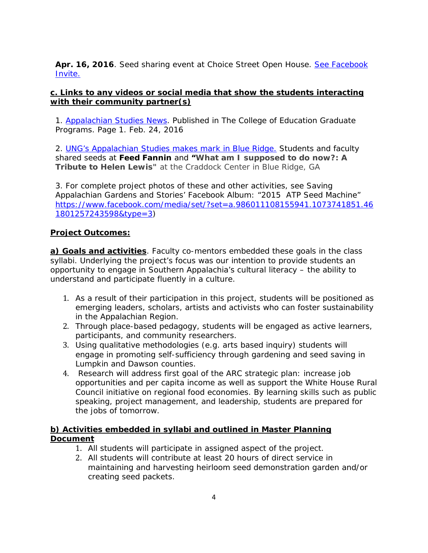**Apr. 16, 2016**. Seed sharing event at Choice Street Open House. [See Facebook](https://www.facebook.com/events/1189474794403883/)  [Invite.](https://www.facebook.com/events/1189474794403883/)

# **c. Links to any videos or social media that show the students interacting with their community partner(s)**

1. [Appalachian Studies News.](http://blog.ung.edu/coegrads/?p=240) Published in The College of Education Graduate Programs. Page 1. Feb. 24, 2016

2. [UNG's Appalachian Studies makes mark in Blue Ridge.](http://ung.edu/news/articles/2016/03/ungs-appalachian-studies-makes-mark-in-blue-ridge.php) Students and faculty shared seeds at **Feed Fannin** and **"What am I supposed to do now?: A Tribute to Helen Lewis"** at the Craddock Center in Blue Ridge, GA

3. For complete project photos of these and other activities, see Saving Appalachian Gardens and Stories' Facebook Album: "2015 ATP Seed Machine" [https://www.facebook.com/media/set/?set=a.986011108155941.1073741851.46](https://www.facebook.com/media/set/?set=a.986011108155941.1073741851.461801257243598&type=3) [1801257243598&type=3\)](https://www.facebook.com/media/set/?set=a.986011108155941.1073741851.461801257243598&type=3)

# **Project Outcomes:**

**a) Goals and activities**. Faculty co-mentors embedded these goals in the class syllabi. Underlying the project's focus was our intention to provide students an opportunity to engage in Southern Appalachia's cultural literacy – the ability to understand and participate fluently in a culture.

- 1. As a result of their participation in this project, students will be positioned as emerging leaders, scholars, artists and activists who can foster sustainability in the Appalachian Region.
- 2. Through place-based pedagogy, students will be engaged as active learners, participants, and community researchers*.*
- 3. Using qualitative methodologies (e.g. arts based inquiry) students will engage in promoting self-sufficiency through gardening and seed saving in Lumpkin and Dawson counties.
- 4. Research will address first goal of the ARC strategic plan: increase job opportunities and per capita income as well as support the White House Rural Council initiative on regional food economies. By learning skills such as public speaking, project management, and leadership, students are prepared for the jobs of tomorrow.

# **b) Activities embedded in syllabi and outlined in Master Planning Document**

- 1. All students will participate in assigned aspect of the project.
- 2. All students will contribute at least 20 hours of direct service in maintaining and harvesting heirloom seed demonstration garden and/or creating seed packets.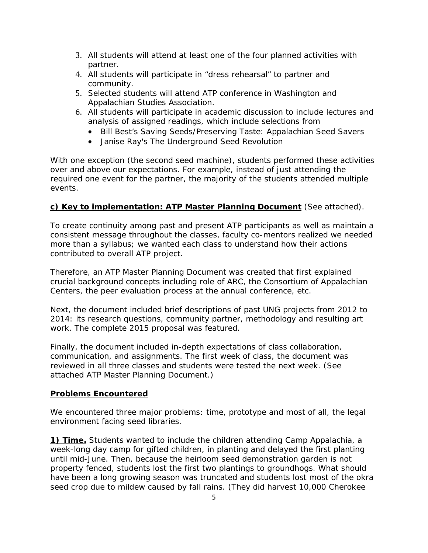- 3. All students will attend at least one of the four planned activities with partner.
- 4. All students will participate in "dress rehearsal" to partner and community.
- 5. Selected students will attend ATP conference in Washington and Appalachian Studies Association.
- 6. All students will participate in academic discussion to include lectures and analysis of assigned readings, which include selections from
	- Bill Best's *Saving Seeds/Preserving Taste: Appalachian Seed Savers*
	- Janise Ray's *The Underground Seed Revolutio*n

With one exception (the second seed machine), students performed these activities over and above our expectations. For example, instead of just attending the required one event for the partner, the majority of the students attended multiple events.

# **c) Key to implementation: ATP Master Planning Document** (See attached).

To create continuity among past and present ATP participants as well as maintain a consistent message throughout the classes, faculty co-mentors realized we needed more than a syllabus; we wanted each class to understand how their actions contributed to overall ATP project.

Therefore, an ATP Master Planning Document was created that first explained crucial background concepts including role of ARC, the Consortium of Appalachian Centers, the peer evaluation process at the annual conference, etc.

Next, the document included brief descriptions of past UNG projects from 2012 to 2014: its research questions, community partner, methodology and resulting art work. The complete 2015 proposal was featured.

Finally, the document included in-depth expectations of class collaboration, communication, and assignments. The first week of class, the document was reviewed in all three classes and students were tested the next week. (See attached ATP Master Planning Document.)

### **Problems Encountered**

We encountered three major problems: time, prototype and most of all, the legal environment facing seed libraries.

**1) Time.** Students wanted to include the children attending Camp Appalachia, a week-long day camp for gifted children, in planting and delayed the first planting until mid-June. Then, because the heirloom seed demonstration garden is not property fenced, students lost the first two plantings to groundhogs. What should have been a long growing season was truncated and students lost most of the okra seed crop due to mildew caused by fall rains. (They did harvest 10,000 Cherokee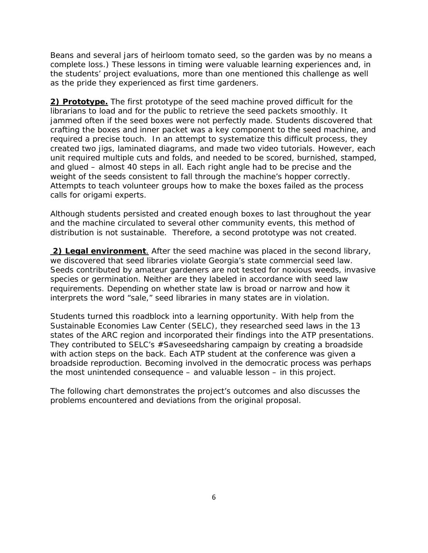Beans and several jars of heirloom tomato seed, so the garden was by no means a complete loss.) These lessons in timing were valuable learning experiences and, in the students' project evaluations, more than one mentioned this challenge as well as the pride they experienced as first time gardeners.

**2) Prototype.** The first prototype of the seed machine proved difficult for the librarians to load and for the public to retrieve the seed packets smoothly. It jammed often if the seed boxes were not perfectly made. Students discovered that crafting the boxes and inner packet was a key component to the seed machine, and required a precise touch. In an attempt to systematize this difficult process, they created two jigs, laminated diagrams, and made two video tutorials. However, each unit required multiple cuts and folds, and needed to be scored, burnished, stamped, and glued – almost 40 steps in all. Each right angle had to be precise and the weight of the seeds consistent to fall through the machine's hopper correctly. Attempts to teach volunteer groups how to make the boxes failed as the process calls for origami experts.

Although students persisted and created enough boxes to last throughout the year and the machine circulated to several other community events, this method of distribution is not sustainable. Therefore, a second prototype was not created.

**2) Legal environment**. After the seed machine was placed in the second library, we discovered that seed libraries violate Georgia's state commercial seed law. Seeds contributed by amateur gardeners are not tested for noxious weeds, invasive species or germination. Neither are they labeled in accordance with seed law requirements. Depending on whether state law is broad or narrow and how it interprets the word "sale," seed libraries in many states are in violation.

Students turned this roadblock into a learning opportunity. With help from the Sustainable Economies Law Center (SELC), they researched seed laws in the 13 states of the ARC region and incorporated their findings into the ATP presentations. They contributed to SELC's #Saveseedsharing campaign by creating a broadside with action steps on the back. Each ATP student at the conference was given a broadside reproduction. Becoming involved in the democratic process was perhaps the most unintended consequence – and valuable lesson – in this project.

The following chart demonstrates the project's outcomes and also discusses the problems encountered and deviations from the original proposal.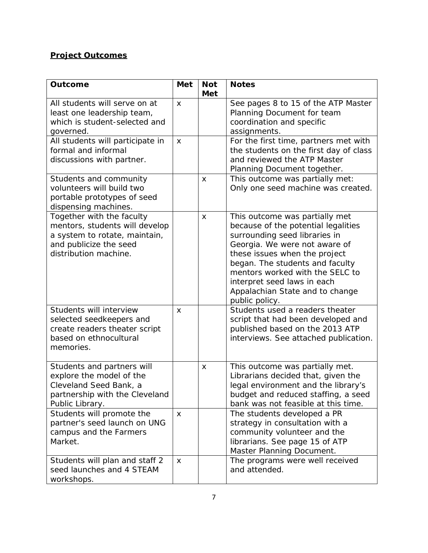# **Project Outcomes**

| <b>Outcome</b>                                                                                                                                  | <b>Met</b>   | <b>Not</b><br><b>Met</b> | <b>Notes</b>                                                                                                                                                                                                                                                                                                                       |
|-------------------------------------------------------------------------------------------------------------------------------------------------|--------------|--------------------------|------------------------------------------------------------------------------------------------------------------------------------------------------------------------------------------------------------------------------------------------------------------------------------------------------------------------------------|
| All students will serve on at<br>least one leadership team,<br>which is student-selected and<br>governed.                                       | X            |                          | See pages 8 to 15 of the ATP Master<br>Planning Document for team<br>coordination and specific<br>assignments.                                                                                                                                                                                                                     |
| All students will participate in<br>formal and informal<br>discussions with partner.                                                            | X            |                          | For the first time, partners met with<br>the students on the first day of class<br>and reviewed the ATP Master<br>Planning Document together.                                                                                                                                                                                      |
| Students and community<br>volunteers will build two<br>portable prototypes of seed<br>dispensing machines.                                      |              | X                        | This outcome was partially met:<br>Only one seed machine was created.                                                                                                                                                                                                                                                              |
| Together with the faculty<br>mentors, students will develop<br>a system to rotate, maintain,<br>and publicize the seed<br>distribution machine. |              | X                        | This outcome was partially met<br>because of the potential legalities<br>surrounding seed libraries in<br>Georgia. We were not aware of<br>these issues when the project<br>began. The students and faculty<br>mentors worked with the SELC to<br>interpret seed laws in each<br>Appalachian State and to change<br>public policy. |
| Students will interview<br>selected seedkeepers and<br>create readers theater script<br>based on ethnocultural<br>memories.                     | X            |                          | Students used a readers theater<br>script that had been developed and<br>published based on the 2013 ATP<br>interviews. See attached publication.                                                                                                                                                                                  |
| Students and partners will<br>explore the model of the<br>Cleveland Seed Bank, a<br>partnership with the Cleveland<br>Public Library.           |              | X                        | This outcome was partially met.<br>Librarians decided that, given the<br>legal environment and the library's<br>budget and reduced staffing, a seed<br>bank was not feasible at this time.                                                                                                                                         |
| Students will promote the<br>partner's seed launch on UNG<br>campus and the Farmers<br>Market.                                                  | $\mathsf{x}$ |                          | The students developed a PR<br>strategy in consultation with a<br>community volunteer and the<br>librarians. See page 15 of ATP<br>Master Planning Document.                                                                                                                                                                       |
| Students will plan and staff 2<br>seed launches and 4 STEAM<br>workshops.                                                                       | $\mathsf{x}$ |                          | The programs were well received<br>and attended.                                                                                                                                                                                                                                                                                   |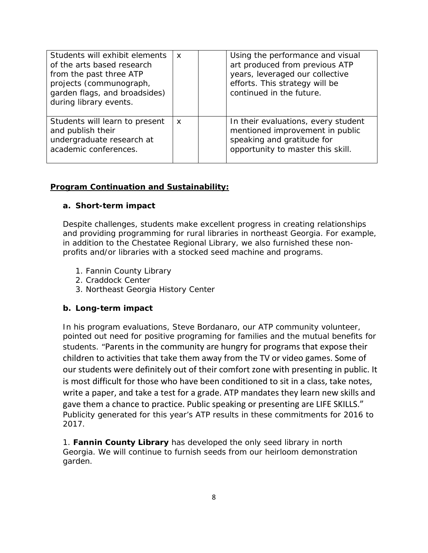| Students will exhibit elements<br>of the arts based research<br>from the past three ATP<br>projects (communograph,<br>garden flags, and broadsides)<br>during library events. | $\boldsymbol{\mathsf{x}}$ | Using the performance and visual<br>art produced from previous ATP<br>years, leveraged our collective<br>efforts. This strategy will be<br>continued in the future. |  |
|-------------------------------------------------------------------------------------------------------------------------------------------------------------------------------|---------------------------|---------------------------------------------------------------------------------------------------------------------------------------------------------------------|--|
| Students will learn to present<br>and publish their<br>undergraduate research at<br>academic conferences.                                                                     | $\boldsymbol{\mathsf{x}}$ | In their evaluations, every student<br>mentioned improvement in public<br>speaking and gratitude for<br>opportunity to master this skill.                           |  |

# **Program Continuation and Sustainability:**

### **a. Short-term impact**

Despite challenges, students make excellent progress in creating relationships and providing programming for rural libraries in northeast Georgia. For example, in addition to the Chestatee Regional Library, we also furnished these nonprofits and/or libraries with a stocked seed machine and programs.

- 1. Fannin County Library
- 2. Craddock Center
- 3. Northeast Georgia History Center

### **b. Long-term impact**

In his program evaluations, Steve Bordanaro, our ATP community volunteer, pointed out need for positive programing for families and the mutual benefits for students. "Parents in the community are hungry for programs that expose their children to activities that take them away from the TV or video games. Some of our students were definitely out of their comfort zone with presenting in public. It is most difficult for those who have been conditioned to sit in a class, take notes, write a paper, and take a test for a grade. ATP mandates they learn new skills and gave them a chance to practice. Public speaking or presenting are LIFE SKILLS." Publicity generated for this year's ATP results in these commitments for 2016 to 2017.

1. **Fannin County Library** has developed the only seed library in north Georgia. We will continue to furnish seeds from our heirloom demonstration garden.